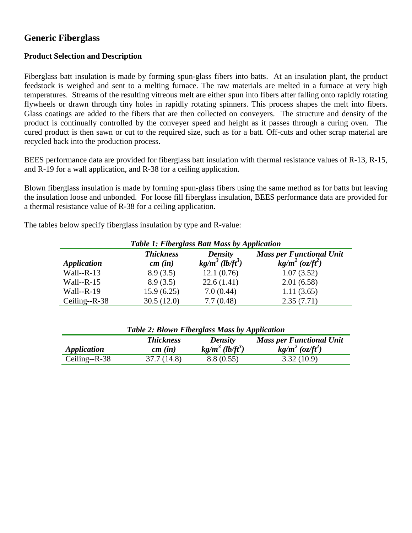# **Generic Fiberglass**

## **Product Selection and Description**

Fiberglass batt insulation is made by forming spun-glass fibers into batts. At an insulation plant, the product feedstock is weighed and sent to a melting furnace. The raw materials are melted in a furnace at very high temperatures. Streams of the resulting vitreous melt are either spun into fibers after falling onto rapidly rotating flywheels or drawn through tiny holes in rapidly rotating spinners. This process shapes the melt into fibers. Glass coatings are added to the fibers that are then collected on conveyers. The structure and density of the product is continually controlled by the conveyer speed and height as it passes through a curing oven. The cured product is then sawn or cut to the required size, such as for a batt. Off-cuts and other scrap material are recycled back into the production process.

BEES performance data are provided for fiberglass batt insulation with thermal resistance values of R-13, R-15, and R-19 for a wall application, and R-38 for a ceiling application.

Blown fiberglass insulation is made by forming spun-glass fibers using the same method as for batts but leaving the insulation loose and unbonded. For loose fill fiberglass insulation, BEES performance data are provided for a thermal resistance value of R-38 for a ceiling application.

The tables below specify fiberglass insulation by type and R-value:

| Table 1: Fiberglass Batt Mass by Application |                  |                                |                                 |
|----------------------------------------------|------------------|--------------------------------|---------------------------------|
|                                              | <b>Thickness</b> | <b>Density</b>                 | <b>Mass per Functional Unit</b> |
| <i><b>Application</b></i>                    | cm(in)           | $kg/m^3$ (lb/ft <sup>3</sup> ) | $kg/m^2$ (oz/ft <sup>2</sup> )  |
| Wall-- $R-13$                                | 8.9(3.5)         | 12.1(0.76)                     | 1.07(3.52)                      |
| Wall-- $R-15$                                | 8.9(3.5)         | 22.6(1.41)                     | 2.01(6.58)                      |
| Wall--R-19                                   | 15.9(6.25)       | 7.0(0.44)                      | 1.11(3.65)                      |
| Ceiling--R-38                                | 30.5(12.0)       | 7.7(0.48)                      | 2.35(7.71)                      |

## *Table 1: Fiberglass Batt Mass by Application*

| <b>Table 2: Blown Fiberglass Mass by Application</b> |                  |                                |                                 |
|------------------------------------------------------|------------------|--------------------------------|---------------------------------|
|                                                      | <b>Thickness</b> | Density                        | <b>Mass per Functional Unit</b> |
| <i><b>Application</b></i>                            | cm(in)           | $kg/m^3$ (lb/ft <sup>3</sup> ) | $kg/m^2$ (oz/ft <sup>2</sup> )  |
| Ceiling-- $R-38$                                     | 37.7(14.8)       | 8.8(0.55)                      | 3.32(10.9)                      |

*Table 2: Blown Fiberglass Mass by Application*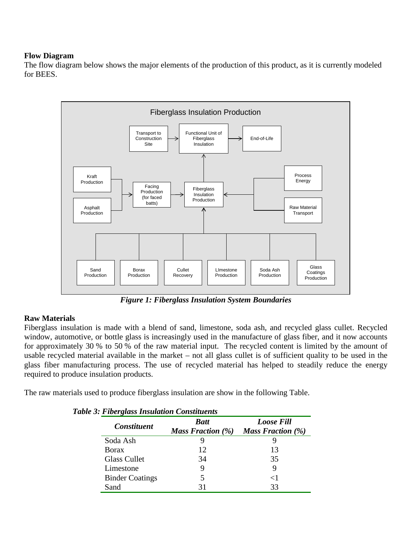#### **Flow Diagram**

The flow diagram below shows the major elements of the production of this product, as it is currently modeled for BEES.



*Figure 1: Fiberglass Insulation System Boundaries*

## **Raw Materials**

Fiberglass insulation is made with a blend of sand, limestone, soda ash, and recycled glass cullet. Recycled window, automotive, or bottle glass is increasingly used in the manufacture of glass fiber, and it now accounts for approximately 30 % to 50 % of the raw material input. The recycled content is limited by the amount of usable recycled material available in the market – not all glass cullet is of sufficient quality to be used in the glass fiber manufacturing process. The use of recycled material has helped to steadily reduce the energy required to produce insulation products.

The raw materials used to produce fiberglass insulation are show in the following Table.

| <b>Constituent</b>     | <b>Batt</b>                 | <b>Loose Fill</b>        |  |
|------------------------|-----------------------------|--------------------------|--|
|                        | <i>Mass Fraction</i> $(\%)$ | <b>Mass Fraction</b> (%) |  |
| Soda Ash               |                             |                          |  |
| <b>Borax</b>           | 12.                         | 13                       |  |
| <b>Glass Cullet</b>    | 34                          | 35                       |  |
| Limestone              | 9                           | 9                        |  |
| <b>Binder Coatings</b> |                             | ${<}1$                   |  |
| Sand                   |                             | 33                       |  |

*Table 3: Fiberglass Insulation Constituents*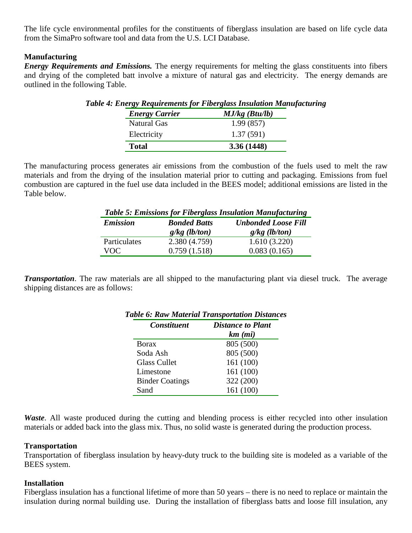The life cycle environmental profiles for the constituents of fiberglass insulation are based on life cycle data from the SimaPro software tool and data from the U.S. LCI Database.

#### **Manufacturing**

*Energy Requirements and Emissions.* The energy requirements for melting the glass constituents into fibers and drying of the completed batt involve a mixture of natural gas and electricity. The energy demands are outlined in the following Table.

| $\sigma$ $\sim$ $\sim$ $\sim$ $\sim$<br><b>Energy Carrier</b> | $MJ/kg$ (Btu/lb) |
|---------------------------------------------------------------|------------------|
| <b>Natural Gas</b>                                            | 1.99(857)        |
| Electricity                                                   | 1.37(591)        |
| <b>Total</b>                                                  | 3.36 (1448)      |

*Table 4: Energy Requirements for Fiberglass Insulation Manufacturing*

The manufacturing process generates air emissions from the combustion of the fuels used to melt the raw materials and from the drying of the insulation material prior to cutting and packaging. Emissions from fuel combustion are captured in the fuel use data included in the BEES model; additional emissions are listed in the Table below.

| <b>Table 5: Emissions for Fiberglass Insulation Manufacturing</b> |                     |                            |
|-------------------------------------------------------------------|---------------------|----------------------------|
| <b>Emission</b>                                                   | <b>Bonded Batts</b> | <b>Unbonded Loose Fill</b> |
|                                                                   | $g/kg$ (lb/ton)     | $g/kg$ (lb/ton)            |
| Particulates                                                      | 2.380 (4.759)       | 1.610(3.220)               |
| VOC.                                                              | 0.759(1.518)        | 0.083(0.165)               |

*Transportation*. The raw materials are all shipped to the manufacturing plant via diesel truck. The average shipping distances are as follows:

| <b>Constituent</b>     | <b>Distance to Plant</b> |  |
|------------------------|--------------------------|--|
|                        | $km$ $(mi)$              |  |
| <b>Borax</b>           | 805 (500)                |  |
| Soda Ash               | 805 (500)                |  |
| <b>Glass Cullet</b>    | 161 (100)                |  |
| Limestone              | 161 (100)                |  |
| <b>Binder Coatings</b> | 322 (200)                |  |
| Sand                   | 161 (100)                |  |

# *Table 6: Raw Material Transportation Distances*

*Waste*. All waste produced during the cutting and blending process is either recycled into other insulation materials or added back into the glass mix. Thus, no solid waste is generated during the production process.

#### **Transportation**

Transportation of fiberglass insulation by heavy-duty truck to the building site is modeled as a variable of the BEES system.

#### **Installation**

Fiberglass insulation has a functional lifetime of more than 50 years – there is no need to replace or maintain the insulation during normal building use. During the installation of fiberglass batts and loose fill insulation, any